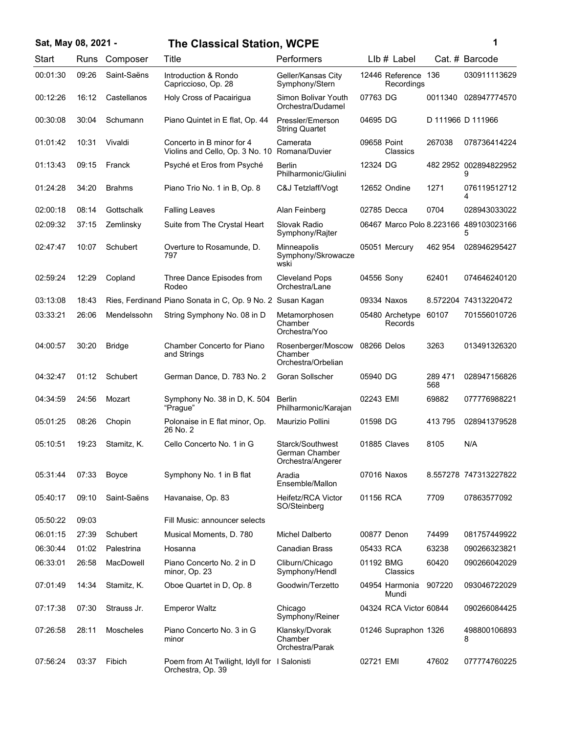| Sat, May 08, 2021 - |       |               | <b>The Classical Station, WCPE</b>                                | 1                                                       |             |                                   |                |                                             |
|---------------------|-------|---------------|-------------------------------------------------------------------|---------------------------------------------------------|-------------|-----------------------------------|----------------|---------------------------------------------|
| Start               | Runs  | Composer      | Title                                                             | Performers                                              |             | $Llb#$ Label                      |                | Cat. # Barcode                              |
| 00:01:30            | 09:26 | Saint-Saëns   | Introduction & Rondo<br>Capriccioso, Op. 28                       | Geller/Kansas City<br>Symphony/Stern                    |             | 12446 Reference 136<br>Recordings |                | 030911113629                                |
| 00:12:26            | 16:12 | Castellanos   | Holy Cross of Pacairigua                                          | Simon Bolivar Youth<br>Orchestra/Dudamel                | 07763 DG    |                                   | 0011340        | 028947774570                                |
| 00:30:08            | 30:04 | Schumann      | Piano Quintet in E flat, Op. 44                                   | Pressler/Emerson<br><b>String Quartet</b>               | 04695 DG    |                                   |                | D 111966 D 111966                           |
| 01:01:42            | 10:31 | Vivaldi       | Concerto in B minor for 4<br>Violins and Cello, Op. 3 No. 10      | Camerata<br>Romana/Duvier                               | 09658 Point | Classics                          | 267038         | 078736414224                                |
| 01:13:43            | 09:15 | Franck        | Psyché et Eros from Psyché                                        | <b>Berlin</b><br>Philharmonic/Giulini                   | 12324 DG    |                                   |                | 482 2952 002894822952<br>9                  |
| 01:24:28            | 34:20 | <b>Brahms</b> | Piano Trio No. 1 in B, Op. 8                                      | C&J Tetzlaff/Vogt                                       |             | 12652 Ondine                      | 1271           | 076119512712<br>4                           |
| 02:00:18            | 08:14 | Gottschalk    | <b>Falling Leaves</b>                                             | Alan Feinberg                                           | 02785 Decca |                                   | 0704           | 028943033022                                |
| 02:09:32            | 37:15 | Zemlinsky     | Suite from The Crystal Heart                                      | Slovak Radio<br>Symphony/Rajter                         |             |                                   |                | 06467 Marco Polo 8.223166 489103023166<br>5 |
| 02:47:47            | 10:07 | Schubert      | Overture to Rosamunde, D.<br>797                                  | Minneapolis<br>Symphony/Skrowacze<br>wski               |             | 05051 Mercury                     | 462 954        | 028946295427                                |
| 02:59:24            | 12:29 | Copland       | Three Dance Episodes from<br>Rodeo                                | <b>Cleveland Pops</b><br>Orchestra/Lane                 | 04556 Sony  |                                   | 62401          | 074646240120                                |
| 03:13:08            | 18:43 |               | Ries, Ferdinand Piano Sonata in C, Op. 9 No. 2 Susan Kagan        |                                                         |             | 09334 Naxos                       |                | 8.572204 74313220472                        |
| 03:33:21            | 26:06 | Mendelssohn   | String Symphony No. 08 in D                                       | Metamorphosen<br>Chamber<br>Orchestra/Yoo               |             | 05480 Archetype<br>Records        | 60107          | 701556010726                                |
| 04:00:57            | 30:20 | <b>Bridge</b> | Chamber Concerto for Piano<br>and Strings                         | Rosenberger/Moscow<br>Chamber<br>Orchestra/Orbelian     | 08266 Delos |                                   | 3263           | 013491326320                                |
| 04:32:47            | 01:12 | Schubert      | German Dance, D. 783 No. 2                                        | Goran Sollscher                                         | 05940 DG    |                                   | 289 471<br>568 | 028947156826                                |
| 04:34:59            | 24:56 | Mozart        | Symphony No. 38 in D, K. 504<br>"Prague"                          | Berlin<br>Philharmonic/Karajan                          | 02243 EMI   |                                   | 69882          | 077776988221                                |
| 05:01:25            | 08:26 | Chopin        | Polonaise in E flat minor, Op.<br>26 No. 2                        | Maurizio Pollini                                        | 01598 DG    |                                   | 413795         | 028941379528                                |
| 05:10:51            | 19:23 | Stamitz, K.   | Cello Concerto No. 1 in G                                         | Starck/Southwest<br>German Chamber<br>Orchestra/Angerer |             | 01885 Claves                      | 8105           | N/A                                         |
| 05:31:44            | 07:33 | Boyce         | Symphony No. 1 in B flat                                          | Aradia<br>Ensemble/Mallon                               | 07016 Naxos |                                   |                | 8.557278 747313227822                       |
| 05:40:17            | 09:10 | Saint-Saëns   | Havanaise, Op. 83                                                 | Heifetz/RCA Victor<br>SO/Steinberg                      | 01156 RCA   |                                   | 7709           | 07863577092                                 |
| 05:50:22            | 09:03 |               | Fill Music: announcer selects                                     |                                                         |             |                                   |                |                                             |
| 06:01:15            | 27:39 | Schubert      | Musical Moments, D. 780                                           | <b>Michel Dalberto</b>                                  |             | 00877 Denon                       | 74499          | 081757449922                                |
| 06:30:44            | 01:02 | Palestrina    | Hosanna                                                           | Canadian Brass                                          | 05433 RCA   |                                   | 63238          | 090266323821                                |
| 06:33:01            | 26:58 | MacDowell     | Piano Concerto No. 2 in D<br>minor, Op. 23                        | Cliburn/Chicago<br>Symphony/Hendl                       | 01192 BMG   | Classics                          | 60420          | 090266042029                                |
| 07:01:49            | 14:34 | Stamitz, K.   | Oboe Quartet in D, Op. 8                                          | Goodwin/Terzetto                                        |             | 04954 Harmonia<br>Mundi           | 907220         | 093046722029                                |
| 07:17:38            | 07:30 | Strauss Jr.   | <b>Emperor Waltz</b>                                              | Chicago<br>Symphony/Reiner                              |             | 04324 RCA Victor 60844            |                | 090266084425                                |
| 07:26:58            | 28:11 | Moscheles     | Piano Concerto No. 3 in G<br>minor                                | Klansky/Dvorak<br>Chamber<br>Orchestra/Parak            |             | 01246 Supraphon 1326              |                | 498800106893<br>8                           |
| 07:56:24            | 03:37 | Fibich        | Poem from At Twilight, Idyll for I Salonisti<br>Orchestra, Op. 39 |                                                         | 02721 EMI   |                                   | 47602          | 077774760225                                |